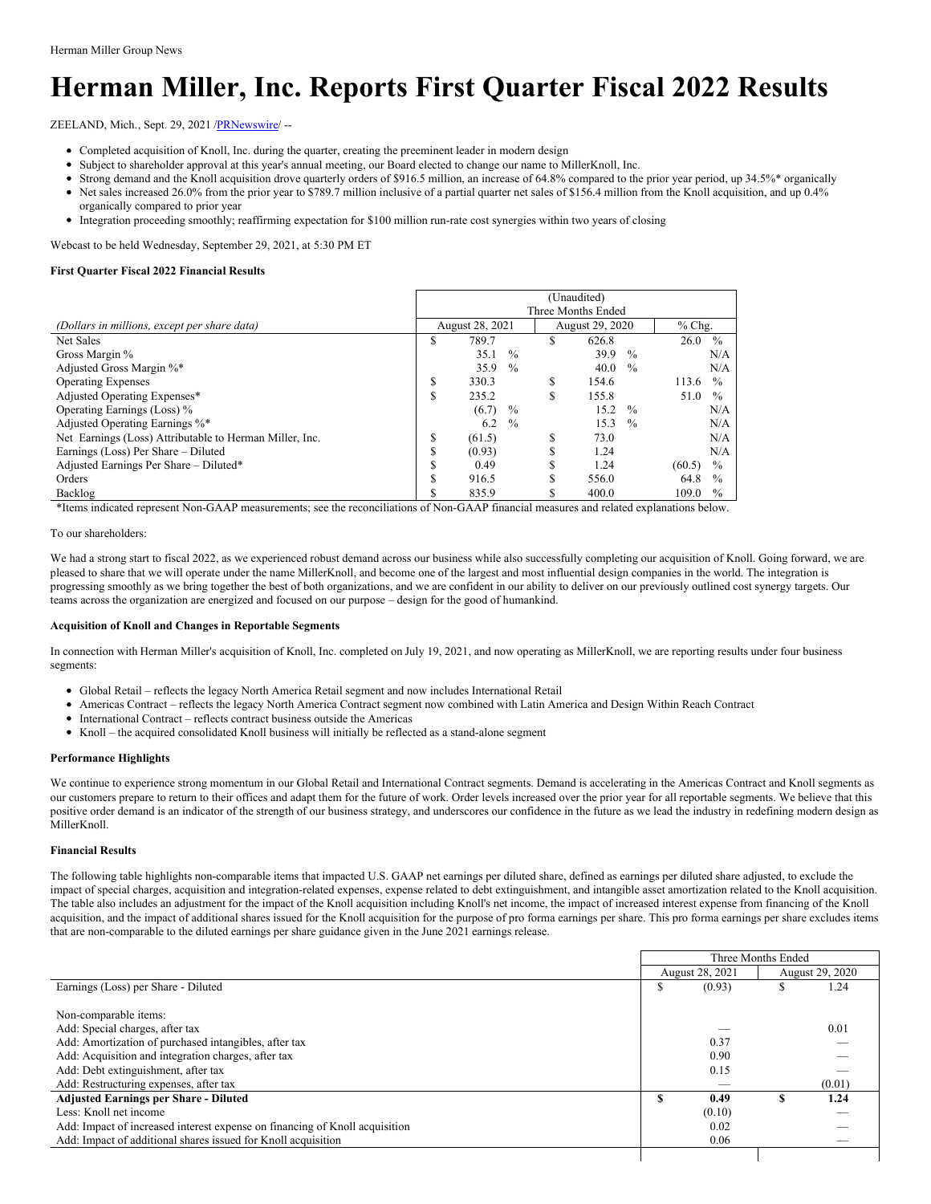# **Herman Miller, Inc. Reports First Quarter Fiscal 2022 Results**

ZEELAND, Mich., Sept. 29, 2021 /[PRNewswire/](http://www.prnewswire.com/) --

- Completed acquisition of Knoll, Inc. during the quarter, creating the preeminent leader in modern design
- Subject to shareholder approval at this year's annual meeting, our Board elected to change our name to MillerKnoll, Inc.
- Strong demand and the Knoll acquisition drove quarterly orders of \$916.5 million, an increase of 64.8% compared to the prior year period, up 34.5%\* organically
- Net sales increased 26.0% from the prior year to \$789.7 million inclusive of a partial quarter net sales of \$156.4 million from the Knoll acquisition, and up 0.4% organically compared to prior year
- Integration proceeding smoothly; reaffirming expectation for \$100 million run-rate cost synergies within two years of closing

Webcast to be held Wednesday, September 29, 2021, at 5:30 PM ET

### **First Quarter Fiscal 2022 Financial Results**

|                                                         | (Unaudited) |                 |               |         |                 |               |        |               |  |  |  |  |
|---------------------------------------------------------|-------------|-----------------|---------------|---------|-----------------|---------------|--------|---------------|--|--|--|--|
|                                                         |             |                 |               |         |                 |               |        |               |  |  |  |  |
| (Dollars in millions, except per share data)            |             | August 28, 2021 |               |         | August 29, 2020 | $%$ Chg.      |        |               |  |  |  |  |
| Net Sales                                               | S           | 789.7           |               | S       | 626.8           |               | 26.0   | $\frac{0}{0}$ |  |  |  |  |
| Gross Margin %                                          |             | 35.1            | $\frac{0}{0}$ |         | 39.9            | $\frac{0}{0}$ |        | N/A           |  |  |  |  |
| Adjusted Gross Margin %*                                |             | 35.9            | $\frac{0}{0}$ |         | 40.0            | $\frac{0}{0}$ |        | N/A           |  |  |  |  |
| <b>Operating Expenses</b>                               | S           | 330.3           |               | S       | 154.6           |               | 113.6  | $\frac{0}{0}$ |  |  |  |  |
| Adjusted Operating Expenses*                            | S           | 235.2           |               | \$      | 155.8           |               | 51.0   | $\frac{0}{0}$ |  |  |  |  |
| Operating Earnings (Loss) %                             |             | (6.7)           | $\%$          |         | 15.2            | $\frac{0}{0}$ |        | N/A           |  |  |  |  |
| Adjusted Operating Earnings %*                          |             | 6.2             | $\frac{0}{0}$ |         | 15.3            | $\frac{0}{0}$ |        | N/A           |  |  |  |  |
| Net Earnings (Loss) Attributable to Herman Miller, Inc. | S           | (61.5)          |               | S       | 73.0            |               |        | N/A           |  |  |  |  |
| Earnings (Loss) Per Share – Diluted                     | õ<br>۰D     | (0.93)          |               | ሖ<br>J. | 1.24            |               |        | N/A           |  |  |  |  |
| Adjusted Earnings Per Share - Diluted*                  | J.          | 0.49            |               | ъ       | 1.24            |               | (60.5) | $\frac{0}{0}$ |  |  |  |  |
| Orders                                                  | ¢           | 916.5           |               | ጦ       | 556.0           |               | 64.8   | $\frac{0}{0}$ |  |  |  |  |
| Backlog                                                 |             | 835.9           |               |         | 400.0           |               | 109.0  | $\frac{0}{0}$ |  |  |  |  |

\*Items indicated represent Non-GAAP measurements; see the reconciliations of Non-GAAP financial measures and related explanations below.

To our shareholders:

We had a strong start to fiscal 2022, as we experienced robust demand across our business while also successfully completing our acquisition of Knoll. Going forward, we are pleased to share that we will operate under the name MillerKnoll, and become one of the largest and most influential design companies in the world. The integration is progressing smoothly as we bring together the best of both organizations, and we are confident in our ability to deliver on our previously outlined cost synergy targets. Our teams across the organization are energized and focused on our purpose – design for the good of humankind.

### **Acquisition of Knoll and Changes in Reportable Segments**

In connection with Herman Miller's acquisition of Knoll, Inc. completed on July 19, 2021, and now operating as MillerKnoll, we are reporting results under four business segments:

- Global Retail reflects the legacy North America Retail segment and now includes International Retail
- Americas Contract reflects the legacy North America Contract segment now combined with Latin America and Design Within Reach Contract
- International Contract reflects contract business outside the Americas
- Knoll the acquired consolidated Knoll business will initially be reflected as a stand-alone segment

### **Performance Highlights**

We continue to experience strong momentum in our Global Retail and International Contract segments. Demand is accelerating in the Americas Contract and Knoll segments as our customers prepare to return to their offices and adapt them for the future of work. Order levels increased over the prior year for all reportable segments. We believe that this positive order demand is an indicator of the strength of our business strategy, and underscores our confidence in the future as we lead the industry in redefining modern design as MillerKnoll.

### **Financial Results**

The following table highlights non-comparable items that impacted U.S. GAAP net earnings per diluted share, defined as earnings per diluted share adjusted, to exclude the impact of special charges, acquisition and integration-related expenses, expense related to debt extinguishment, and intangible asset amortization related to the Knoll acquisition. The table also includes an adjustment for the impact of the Knoll acquisition including Knoll's net income, the impact of increased interest expense from financing of the Knoll acquisition, and the impact of additional shares issued for the Knoll acquisition for the purpose of pro forma earnings per share. This pro forma earnings per share excludes items that are non-comparable to the diluted earnings per share guidance given in the June 2021 earnings release.

|                                                                             |    | Three Months Ended |                 |
|-----------------------------------------------------------------------------|----|--------------------|-----------------|
|                                                                             |    | August 28, 2021    | August 29, 2020 |
| Earnings (Loss) per Share - Diluted                                         | ۰D | (0.93)             | 1.24            |
|                                                                             |    |                    |                 |
| Non-comparable items:                                                       |    |                    |                 |
| Add: Special charges, after tax                                             |    |                    | 0.01            |
| Add: Amortization of purchased intangibles, after tax                       |    | 0.37               |                 |
| Add: Acquisition and integration charges, after tax                         |    | 0.90               |                 |
| Add: Debt extinguishment, after tax                                         |    | 0.15               |                 |
| Add: Restructuring expenses, after tax                                      |    |                    | (0.01)          |
| <b>Adjusted Earnings per Share - Diluted</b>                                |    | 0.49               | \$<br>1.24      |
| Less: Knoll net income                                                      |    | (0.10)             |                 |
| Add: Impact of increased interest expense on financing of Knoll acquisition |    | 0.02               |                 |
| Add: Impact of additional shares issued for Knoll acquisition               |    | 0.06               |                 |
|                                                                             |    |                    |                 |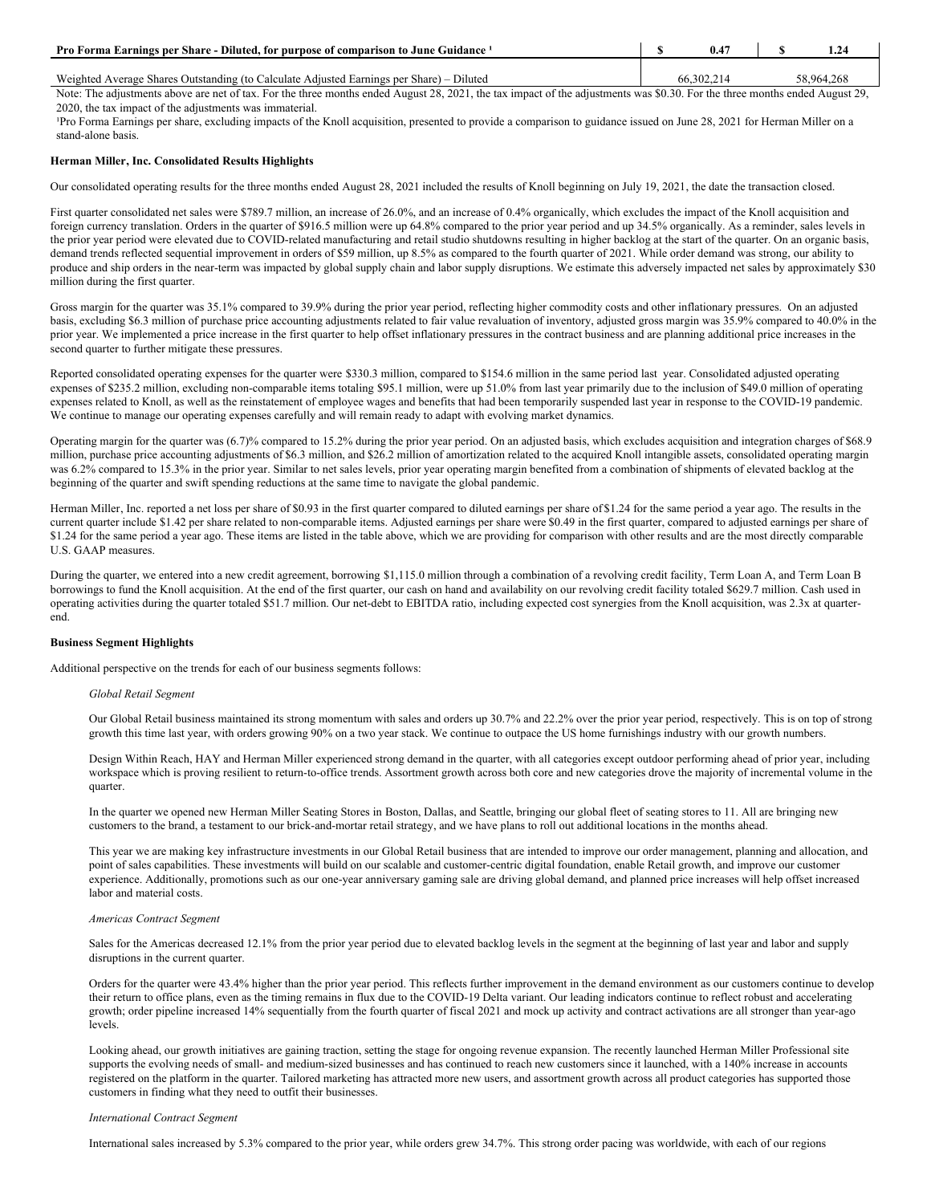| Pro Forma Earnings per Share - Diluted, for purpose of comparison to June Guidance 1     |            |            |
|------------------------------------------------------------------------------------------|------------|------------|
| Weighted Average Shares Outstanding (to Calculate Adjusted Earnings per Share) – Diluted | 66.302.214 | 58,964,268 |

Note: The adjustments above are net of tax. For the three months ended August 28, 2021, the tax impact of the adjustments was \$0.30. For the three months ended August 29, 2020, the tax impact of the adjustments was immaterial.

Pro Forma Earnings per share, excluding impacts of the Knoll acquisition, presented to provide a comparison to guidance issued on June 28, 2021 for Herman Miller on a stand-alone basis.

### **Herman Miller, Inc. Consolidated Results Highlights**

Our consolidated operating results for the three months ended August 28, 2021 included the results of Knoll beginning on July 19, 2021, the date the transaction closed.

First quarter consolidated net sales were \$789.7 million, an increase of 26.0%, and an increase of 0.4% organically, which excludes the impact of the Knoll acquisition and foreign currency translation. Orders in the quarter of \$916.5 million were up 64.8% compared to the prior year period and up 34.5% organically. As a reminder, sales levels in the prior year period were elevated due to COVID-related manufacturing and retail studio shutdowns resulting in higher backlog at the start of the quarter. On an organic basis, demand trends reflected sequential improvement in orders of \$59 million, up 8.5% as compared to the fourth quarter of 2021. While order demand was strong, our ability to produce and ship orders in the near-term was impacted by global supply chain and labor supply disruptions. We estimate this adversely impacted net sales by approximately \$30 million during the first quarter.

Gross margin for the quarter was 35.1% compared to 39.9% during the prior year period, reflecting higher commodity costs and other inflationary pressures. On an adjusted basis, excluding \$6.3 million of purchase price accounting adjustments related to fair value revaluation of inventory, adjusted gross margin was 35.9% compared to 40.0% in the prior year. We implemented a price increase in the first quarter to help offset inflationary pressures in the contract business and are planning additional price increases in the second quarter to further mitigate these pressures.

Reported consolidated operating expenses for the quarter were \$330.3 million, compared to \$154.6 million in the same period last year. Consolidated adjusted operating expenses of \$235.2 million, excluding non-comparable items totaling \$95.1 million, were up 51.0% from last year primarily due to the inclusion of \$49.0 million of operating expenses related to Knoll, as well as the reinstatement of employee wages and benefits that had been temporarily suspended last year in response to the COVID-19 pandemic. We continue to manage our operating expenses carefully and will remain ready to adapt with evolving market dynamics.

Operating margin for the quarter was (6.7)% compared to 15.2% during the prior year period. On an adjusted basis, which excludes acquisition and integration charges of \$68.9 million, purchase price accounting adjustments of \$6.3 million, and \$26.2 million of amortization related to the acquired Knoll intangible assets, consolidated operating margin was 6.2% compared to 15.3% in the prior year. Similar to net sales levels, prior year operating margin benefited from a combination of shipments of elevated backlog at the beginning of the quarter and swift spending reductions at the same time to navigate the global pandemic.

Herman Miller, Inc. reported a net loss per share of \$0.93 in the first quarter compared to diluted earnings per share of \$1.24 for the same period a year ago. The results in the current quarter include \$1.42 per share related to non-comparable items. Adjusted earnings per share were \$0.49 in the first quarter, compared to adjusted earnings per share of \$1.24 for the same period a year ago. These items are listed in the table above, which we are providing for comparison with other results and are the most directly comparable U.S. GAAP measures.

During the quarter, we entered into a new credit agreement, borrowing \$1,115.0 million through a combination of a revolving credit facility, Term Loan A, and Term Loan B borrowings to fund the Knoll acquisition. At the end of the first quarter, our cash on hand and availability on our revolving credit facility totaled \$629.7 million. Cash used in operating activities during the quarter totaled \$51.7 million. Our net-debt to EBITDA ratio, including expected cost synergies from the Knoll acquisition, was 2.3x at quarterend.

### **Business Segment Highlights**

Additional perspective on the trends for each of our business segments follows:

### *Global Retail Segment*

Our Global Retail business maintained its strong momentum with sales and orders up 30.7% and 22.2% over the prior year period, respectively. This is on top of strong growth this time last year, with orders growing 90% on a two year stack. We continue to outpace the US home furnishings industry with our growth numbers.

Design Within Reach, HAY and Herman Miller experienced strong demand in the quarter, with all categories except outdoor performing ahead of prior year, including workspace which is proving resilient to return-to-office trends. Assortment growth across both core and new categories drove the majority of incremental volume in the quarter.

In the quarter we opened new Herman Miller Seating Stores in Boston, Dallas, and Seattle, bringing our global fleet of seating stores to 11. All are bringing new customers to the brand, a testament to our brick-and-mortar retail strategy, and we have plans to roll out additional locations in the months ahead.

This year we are making key infrastructure investments in our Global Retail business that are intended to improve our order management, planning and allocation, and point of sales capabilities. These investments will build on our scalable and customer-centric digital foundation, enable Retail growth, and improve our customer experience. Additionally, promotions such as our one-year anniversary gaming sale are driving global demand, and planned price increases will help offset increased labor and material costs.

### *Americas Contract Segment*

Sales for the Americas decreased 12.1% from the prior year period due to elevated backlog levels in the segment at the beginning of last year and labor and supply disruptions in the current quarter.

Orders for the quarter were 43.4% higher than the prior year period. This reflects further improvement in the demand environment as our customers continue to develop their return to office plans, even as the timing remains in flux due to the COVID-19 Delta variant. Our leading indicators continue to reflect robust and accelerating growth; order pipeline increased 14% sequentially from the fourth quarter of fiscal 2021 and mock up activity and contract activations are all stronger than year-ago levels.

Looking ahead, our growth initiatives are gaining traction, setting the stage for ongoing revenue expansion. The recently launched Herman Miller Professional site supports the evolving needs of small- and medium-sized businesses and has continued to reach new customers since it launched, with a 140% increase in accounts registered on the platform in the quarter. Tailored marketing has attracted more new users, and assortment growth across all product categories has supported those customers in finding what they need to outfit their businesses.

### *International Contract Segment*

International sales increased by 5.3% compared to the prior year, while orders grew 34.7%. This strong order pacing was worldwide, with each of our regions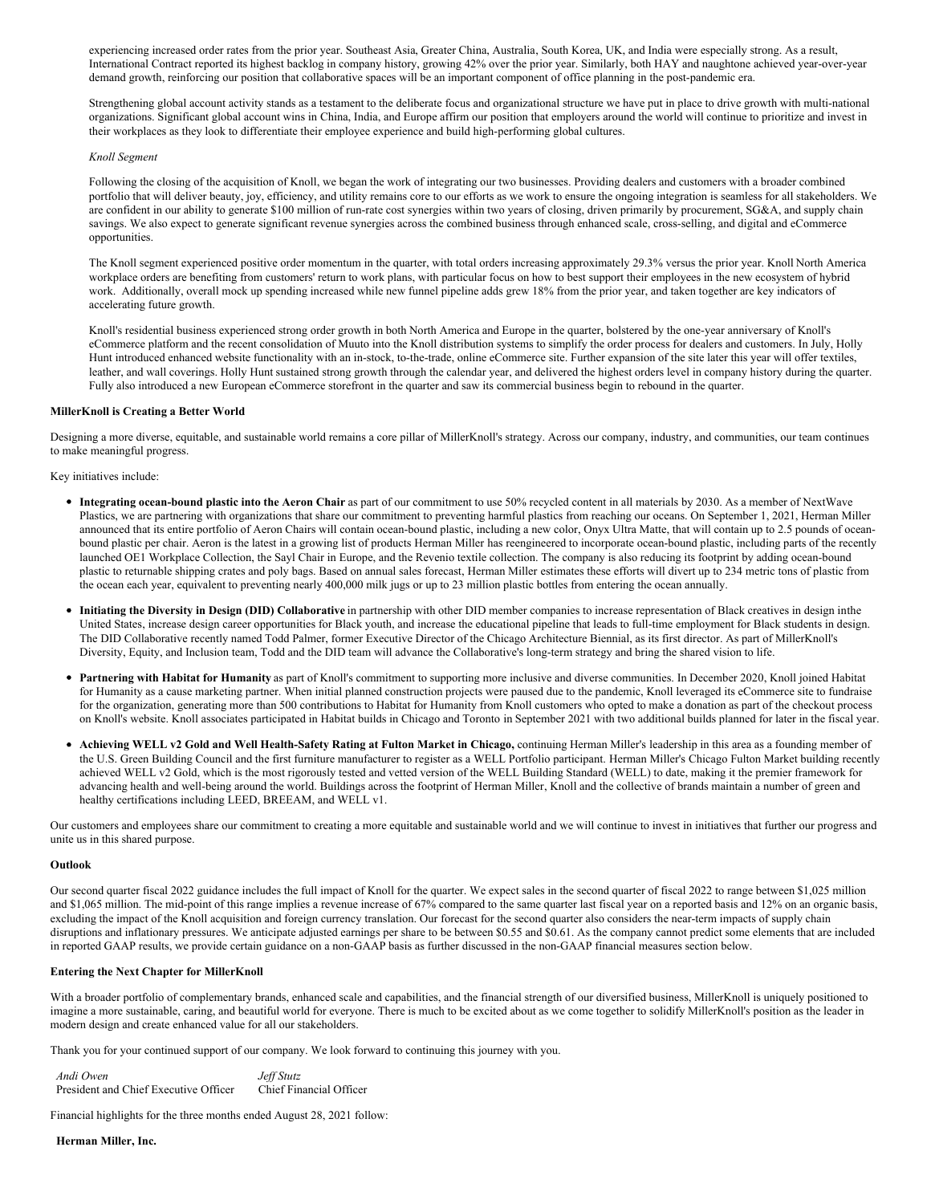experiencing increased order rates from the prior year. Southeast Asia, Greater China, Australia, South Korea, UK, and India were especially strong. As a result, International Contract reported its highest backlog in company history, growing 42% over the prior year. Similarly, both HAY and naughtone achieved year-over-year demand growth, reinforcing our position that collaborative spaces will be an important component of office planning in the post-pandemic era.

Strengthening global account activity stands as a testament to the deliberate focus and organizational structure we have put in place to drive growth with multi-national organizations. Significant global account wins in China, India, and Europe affirm our position that employers around the world will continue to prioritize and invest in their workplaces as they look to differentiate their employee experience and build high-performing global cultures.

### *Knoll Segment*

Following the closing of the acquisition of Knoll, we began the work of integrating our two businesses. Providing dealers and customers with a broader combined portfolio that will deliver beauty, joy, efficiency, and utility remains core to our efforts as we work to ensure the ongoing integration is seamless for all stakeholders. We are confident in our ability to generate \$100 million of run-rate cost synergies within two years of closing, driven primarily by procurement, SG&A, and supply chain savings. We also expect to generate significant revenue synergies across the combined business through enhanced scale, cross-selling, and digital and eCommerce opportunities.

The Knoll segment experienced positive order momentum in the quarter, with total orders increasing approximately 29.3% versus the prior year. Knoll North America workplace orders are benefiting from customers' return to work plans, with particular focus on how to best support their employees in the new ecosystem of hybrid work. Additionally, overall mock up spending increased while new funnel pipeline adds grew 18% from the prior year, and taken together are key indicators of accelerating future growth.

Knoll's residential business experienced strong order growth in both North America and Europe in the quarter, bolstered by the one-year anniversary of Knoll's eCommerce platform and the recent consolidation of Muuto into the Knoll distribution systems to simplify the order process for dealers and customers. In July, Holly Hunt introduced enhanced website functionality with an in-stock, to-the-trade, online eCommerce site. Further expansion of the site later this year will offer textiles, leather, and wall coverings. Holly Hunt sustained strong growth through the calendar year, and delivered the highest orders level in company history during the quarter. Fully also introduced a new European eCommerce storefront in the quarter and saw its commercial business begin to rebound in the quarter.

### **MillerKnoll is Creating a Better World**

Designing a more diverse, equitable, and sustainable world remains a core pillar of MillerKnoll's strategy. Across our company, industry, and communities, our team continues to make meaningful progress.

Key initiatives include:

- **Integrating ocean-bound plastic into the Aeron Chair** as part of our commitment to use 50% recycled content in all materials by 2030. As a member of NextWave Plastics, we are partnering with organizations that share our commitment to preventing harmful plastics from reaching our oceans. On September 1, 2021, Herman Miller announced that its entire portfolio of Aeron Chairs will contain ocean-bound plastic, including a new color, Onyx Ultra Matte, that will contain up to 2.5 pounds of oceanbound plastic per chair. Aeron is the latest in a growing list of products Herman Miller has reengineered to incorporate ocean-bound plastic, including parts of the recently launched OE1 Workplace Collection, the Sayl Chair in Europe, and the Revenio textile collection. The company is also reducing its footprint by adding ocean-bound plastic to returnable shipping crates and poly bags. Based on annual sales forecast, Herman Miller estimates these efforts will divert up to 234 metric tons of plastic from the ocean each year, equivalent to preventing nearly 400,000 milk jugs or up to 23 million plastic bottles from entering the ocean annually.
- **Initiating the Diversity in Design (DID) Collaborative** in partnership with other DID member companies to increase representation of Black creatives in design inthe United States, increase design career opportunities for Black youth, and increase the educational pipeline that leads to full-time employment for Black students in design. The DID Collaborative recently named Todd Palmer, former Executive Director of the Chicago Architecture Biennial, as its first director. As part of MillerKnoll's Diversity, Equity, and Inclusion team, Todd and the DID team will advance the Collaborative's long-term strategy and bring the shared vision to life.
- **Partnering with Habitat for Humanity** as part of Knoll's commitment to supporting more inclusive and diverse communities. In December 2020, Knoll joined Habitat for Humanity as a cause marketing partner. When initial planned construction projects were paused due to the pandemic, Knoll leveraged its eCommerce site to fundraise for the organization, generating more than 500 contributions to Habitat for Humanity from Knoll customers who opted to make a donation as part of the checkout process on Knoll's website. Knoll associates participated in Habitat builds in Chicago and Toronto in September 2021 with two additional builds planned for later in the fiscal year.
- Achieving WELL v2 Gold and Well Health-Safety Rating at Fulton Market in Chicago, continuing Herman Miller's leadership in this area as a founding member of the U.S. Green Building Council and the first furniture manufacturer to register as a WELL Portfolio participant. Herman Miller's Chicago Fulton Market building recently achieved WELL v2 Gold, which is the most rigorously tested and vetted version of the WELL Building Standard (WELL) to date, making it the premier framework for advancing health and well-being around the world. Buildings across the footprint of Herman Miller, Knoll and the collective of brands maintain a number of green and healthy certifications including LEED, BREEAM, and WELL v1.

Our customers and employees share our commitment to creating a more equitable and sustainable world and we will continue to invest in initiatives that further our progress and unite us in this shared purpose.

#### **Outlook**

Our second quarter fiscal 2022 guidance includes the full impact of Knoll for the quarter. We expect sales in the second quarter of fiscal 2022 to range between \$1,025 million and \$1,065 million. The mid-point of this range implies a revenue increase of 67% compared to the same quarter last fiscal year on a reported basis and 12% on an organic basis, excluding the impact of the Knoll acquisition and foreign currency translation. Our forecast for the second quarter also considers the near-term impacts of supply chain disruptions and inflationary pressures. We anticipate adjusted earnings per share to be between \$0.55 and \$0.61. As the company cannot predict some elements that are included in reported GAAP results, we provide certain guidance on a non-GAAP basis as further discussed in the non-GAAP financial measures section below.

### **Entering the Next Chapter for MillerKnoll**

With a broader portfolio of complementary brands, enhanced scale and capabilities, and the financial strength of our diversified business, MillerKnoll is uniquely positioned to imagine a more sustainable, caring, and beautiful world for everyone. There is much to be excited about as we come together to solidify MillerKnoll's position as the leader in modern design and create enhanced value for all our stakeholders.

Thank you for your continued support of our company. We look forward to continuing this journey with you.

*Andi Owen Jef Stutz* President and Chief Executive Officer Chief Financial Officer

Financial highlights for the three months ended August 28, 2021 follow:

**Herman Miller, Inc.**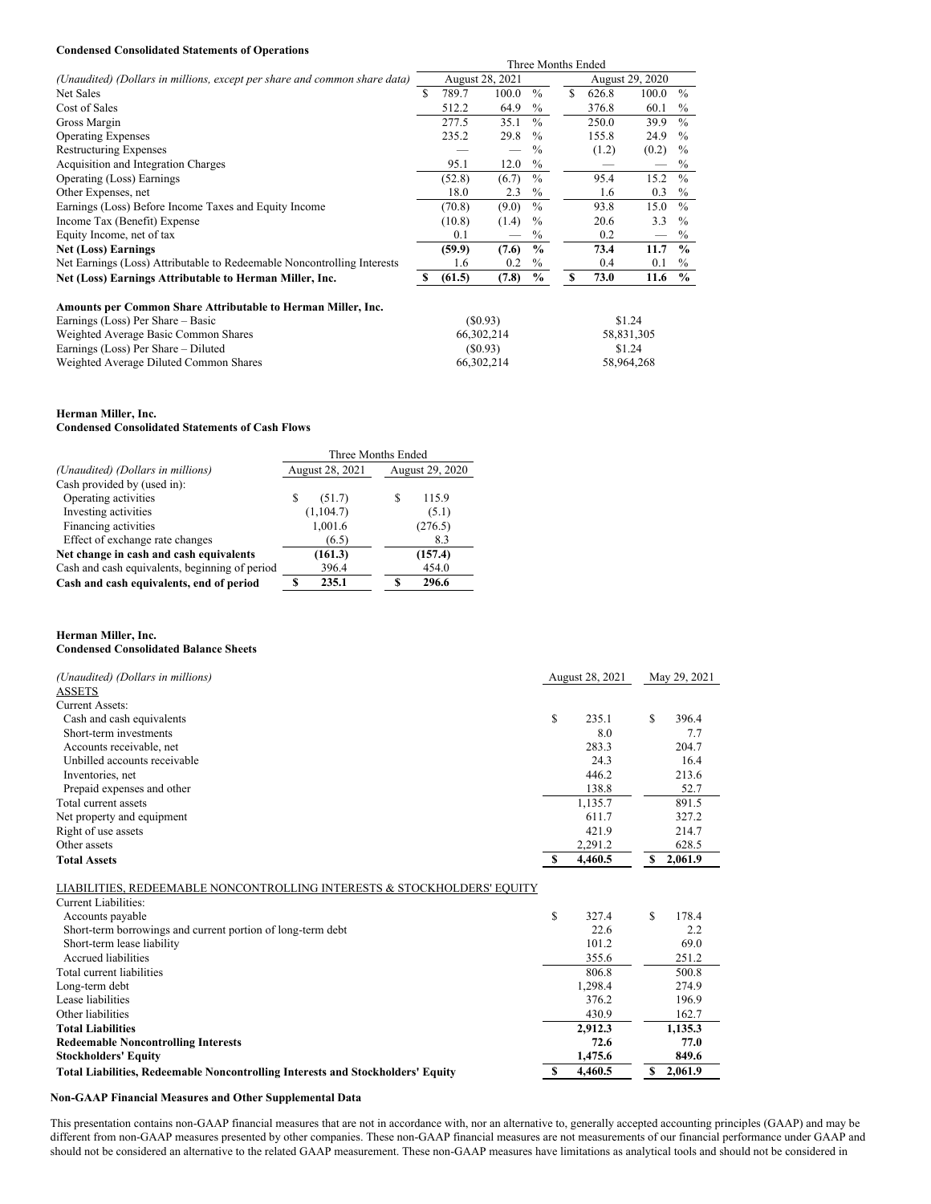# **Condensed Consolidated Statements of Operations**

|                                                                           |     |        |                 |               | Three Months Ended |       |       |               |  |
|---------------------------------------------------------------------------|-----|--------|-----------------|---------------|--------------------|-------|-------|---------------|--|
| (Unaudited) (Dollars in millions, except per share and common share data) |     |        | August 28, 2021 |               | August 29, 2020    |       |       |               |  |
| Net Sales                                                                 | \$. | 789.7  | 100.0           | $\frac{0}{0}$ | S                  | 626.8 | 100.0 | $\frac{0}{0}$ |  |
| Cost of Sales                                                             |     | 512.2  | 64.9            | $\%$          |                    | 376.8 | 60.1  | $\%$          |  |
| Gross Margin                                                              |     | 277.5  | 35.1            | $\frac{0}{0}$ |                    | 250.0 | 39.9  | $\frac{0}{0}$ |  |
| <b>Operating Expenses</b>                                                 |     | 235.2  | 29.8            | $\frac{0}{0}$ |                    | 155.8 | 24.9  | $\frac{0}{0}$ |  |
| <b>Restructuring Expenses</b>                                             |     |        |                 | $\%$          |                    | (1.2) | (0.2) | $\%$          |  |
| Acquisition and Integration Charges                                       |     | 95.1   | 12.0            | $\%$          |                    |       |       | $\%$          |  |
| Operating (Loss) Earnings                                                 |     | (52.8) | (6.7)           | $\frac{0}{0}$ |                    | 95.4  | 15.2  | $\frac{0}{0}$ |  |
| Other Expenses, net                                                       |     | 18.0   | 2.3             | $\%$          |                    | 1.6   | 0.3   | $\%$          |  |
| Earnings (Loss) Before Income Taxes and Equity Income                     |     | (70.8) | (9.0)           | $\frac{0}{0}$ |                    | 93.8  | 15.0  | $\frac{0}{0}$ |  |
| Income Tax (Benefit) Expense                                              |     | (10.8) | (1.4)           | $\%$          |                    | 20.6  | 3.3   | $\frac{0}{0}$ |  |
| Equity Income, net of tax                                                 |     | 0.1    |                 | $\%$          |                    | 0.2   |       | $\%$          |  |
| <b>Net (Loss) Earnings</b>                                                |     | (59.9) | (7.6)           | $\frac{0}{0}$ |                    | 73.4  | 11.7  | $\frac{0}{0}$ |  |
| Net Earnings (Loss) Attributable to Redeemable Noncontrolling Interests   |     | 1.6    | 0.2             | $\%$          |                    | 0.4   | 0.1   | $\%$          |  |
| Net (Loss) Earnings Attributable to Herman Miller, Inc.                   |     | (61.5) | (7.8)           | $\%$          |                    | 73.0  | 11.6  | $\%$          |  |
|                                                                           |     |        |                 |               |                    |       |       |               |  |

| Amounts per Common Share Attributable to Herman Miller, Inc. |            |            |
|--------------------------------------------------------------|------------|------------|
| Earnings (Loss) Per Share – Basic                            | (S0.93)    | \$1.24     |
| Weighted Average Basic Common Shares                         | 66.302.214 | 58.831.305 |
| Earnings (Loss) Per Share – Diluted                          | (S0.93)    | \$1.24     |
| Weighted Average Diluted Common Shares                       | 66.302.214 | 58.964.268 |

# **Herman Miller, Inc.**

### **Condensed Consolidated Statements of Cash Flows**

|                                                | Three Months Ended |                 |
|------------------------------------------------|--------------------|-----------------|
| (Unaudited) (Dollars in millions)              | August 28, 2021    | August 29, 2020 |
| Cash provided by (used in):                    |                    |                 |
| Operating activities                           | S<br>(51.7)        | 115.9           |
| Investing activities                           | (1, 104.7)         | (5.1)           |
| Financing activities                           | 1,001.6            | (276.5)         |
| Effect of exchange rate changes                | (6.5)              | 8.3             |
| Net change in cash and cash equivalents        | (161.3)            | (157.4)         |
| Cash and cash equivalents, beginning of period | 396.4              | 454.0           |
| Cash and cash equivalents, end of period       | 235.1              | 296.6           |

## **Herman Miller, Inc.**

**Stockholders' Equity 1,475.6 849.6**

### **Condensed Consolidated Balance Sheets**

| (Unaudited) (Dollars in millions)                                       |    | August 28, 2021 | May 29, 2021 |         |  |
|-------------------------------------------------------------------------|----|-----------------|--------------|---------|--|
| <b>ASSETS</b>                                                           |    |                 |              |         |  |
| <b>Current Assets:</b>                                                  |    |                 |              |         |  |
| Cash and cash equivalents                                               | \$ | 235.1           | S            | 396.4   |  |
| Short-term investments                                                  |    | 8.0             |              | 7.7     |  |
| Accounts receivable, net                                                |    | 283.3           |              | 204.7   |  |
| Unbilled accounts receivable                                            |    | 24.3            |              | 16.4    |  |
| Inventories, net                                                        |    | 446.2           |              | 213.6   |  |
| Prepaid expenses and other                                              |    | 138.8           |              | 52.7    |  |
| Total current assets                                                    |    | 1,135.7         |              | 891.5   |  |
| Net property and equipment                                              |    | 611.7           |              | 327.2   |  |
| Right of use assets                                                     |    | 421.9           |              | 214.7   |  |
| Other assets                                                            |    | 2,291.2         |              | 628.5   |  |
| <b>Total Assets</b>                                                     | -S | 4,460.5         | S            | 2,061.9 |  |
| LIABILITIES, REDEEMABLE NONCONTROLLING INTERESTS & STOCKHOLDERS' EQUITY |    |                 |              |         |  |
| Current Liabilities:                                                    |    |                 |              |         |  |
| Accounts payable                                                        | \$ | 327.4           | S            | 178.4   |  |
| Short-term borrowings and current portion of long-term debt             |    | 22.6            |              | 2.2     |  |
| Short-term lease liability                                              |    | 101.2           |              | 69.0    |  |
| Accrued liabilities                                                     |    | 355.6           |              | 251.2   |  |
| Total current liabilities                                               |    | 806.8           |              | 500.8   |  |
| Long-term debt                                                          |    | 1,298.4         |              | 274.9   |  |
| Lease liabilities                                                       |    | 376.2           |              | 196.9   |  |
| Other liabilities                                                       |    | 430.9           |              | 162.7   |  |
| <b>Total Liabilities</b>                                                |    | 2.912.3         |              | 1.135.3 |  |

**Redeemable Noncontrolling Interests 72.6 77.0**

**Total Liabilities, Redeemable Noncontrolling Interests and Stockholders' Equity \$ 4,460.5 \$ 2,061.9**

### **Non-GAAP Financial Measures and Other Supplemental Data**

This presentation contains non-GAAP financial measures that are not in accordance with, nor an alternative to, generally accepted accounting principles (GAAP) and may be different from non-GAAP measures presented by other companies. These non-GAAP financial measures are not measurements of our financial performance under GAAP and should not be considered an alternative to the related GAAP measurement. These non-GAAP measures have limitations as analytical tools and should not be considered in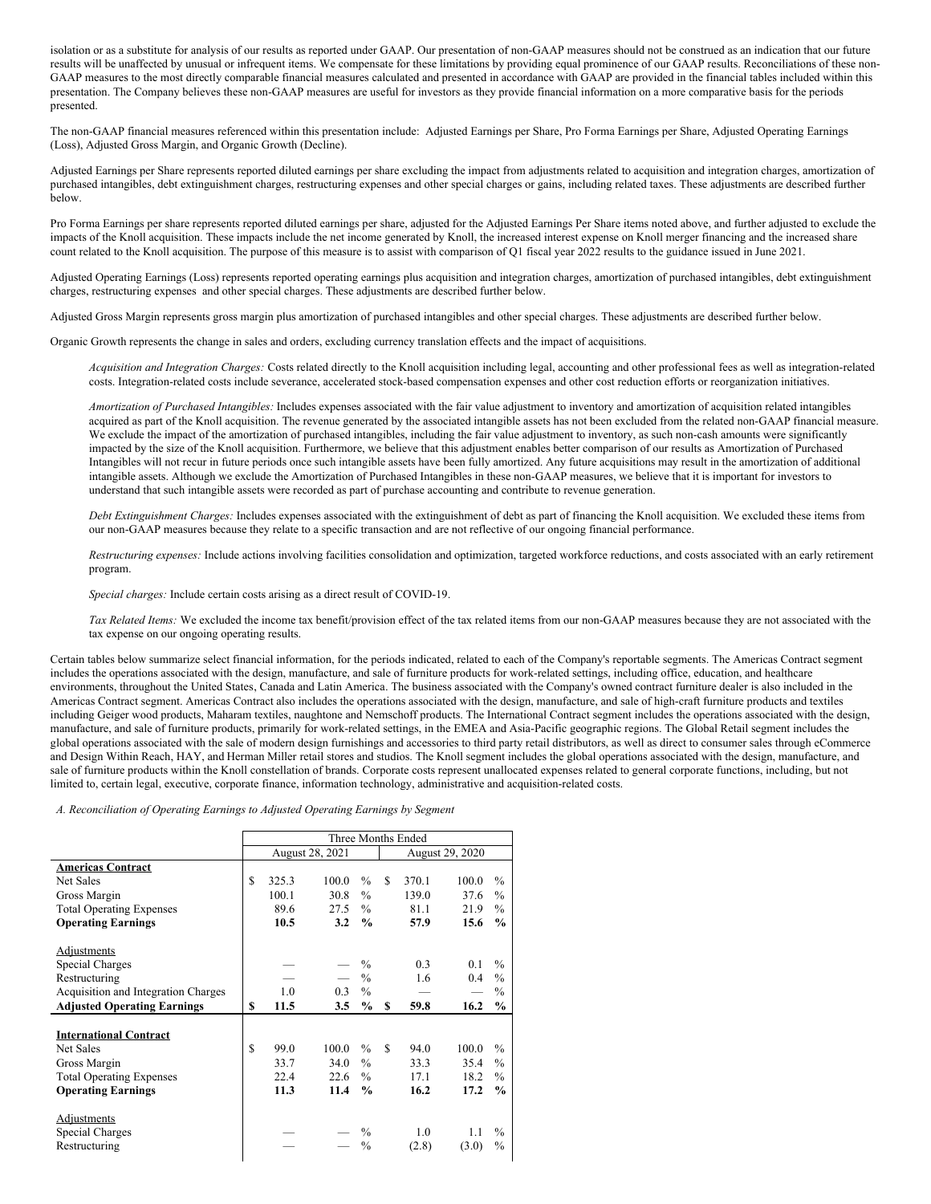isolation or as a substitute for analysis of our results as reported under GAAP. Our presentation of non-GAAP measures should not be construed as an indication that our future results will be unaffected by unusual or infrequent items. We compensate for these limitations by providing equal prominence of our GAAP results. Reconciliations of these non-GAAP measures to the most directly comparable financial measures calculated and presented in accordance with GAAP are provided in the financial tables included within this presentation. The Company believes these non-GAAP measures are useful for investors as they provide financial information on a more comparative basis for the periods presented.

The non-GAAP financial measures referenced within this presentation include: Adjusted Earnings per Share, Pro Forma Earnings per Share, Adjusted Operating Earnings (Loss), Adjusted Gross Margin, and Organic Growth (Decline).

Adjusted Earnings per Share represents reported diluted earnings per share excluding the impact from adjustments related to acquisition and integration charges, amortization of purchased intangibles, debt extinguishment charges, restructuring expenses and other special charges or gains, including related taxes. These adjustments are described further below.

Pro Forma Earnings per share represents reported diluted earnings per share, adjusted for the Adjusted Earnings Per Share items noted above, and further adjusted to exclude the impacts of the Knoll acquisition. These impacts include the net income generated by Knoll, the increased interest expense on Knoll merger financing and the increased share count related to the Knoll acquisition. The purpose of this measure is to assist with comparison of Q1 fiscal year 2022 results to the guidance issued in June 2021.

Adjusted Operating Earnings (Loss) represents reported operating earnings plus acquisition and integration charges, amortization of purchased intangibles, debt extinguishment charges, restructuring expenses and other special charges. These adjustments are described further below.

Adjusted Gross Margin represents gross margin plus amortization of purchased intangibles and other special charges. These adjustments are described further below.

Organic Growth represents the change in sales and orders, excluding currency translation effects and the impact of acquisitions.

*Acquisition and Integration Charges:* Costs related directly to the Knoll acquisition including legal, accounting and other professional fees as well as integration-related costs. Integration-related costs include severance, accelerated stock-based compensation expenses and other cost reduction efforts or reorganization initiatives.

*Amortization of Purchased Intangibles:* Includes expenses associated with the fair value adjustment to inventory and amortization of acquisition related intangibles acquired as part of the Knoll acquisition. The revenue generated by the associated intangible assets has not been excluded from the related non-GAAP financial measure. We exclude the impact of the amortization of purchased intangibles, including the fair value adjustment to inventory, as such non-cash amounts were significantly impacted by the size of the Knoll acquisition. Furthermore, we believe that this adjustment enables better comparison of our results as Amortization of Purchased Intangibles will not recur in future periods once such intangible assets have been fully amortized. Any future acquisitions may result in the amortization of additional intangible assets. Although we exclude the Amortization of Purchased Intangibles in these non-GAAP measures, we believe that it is important for investors to understand that such intangible assets were recorded as part of purchase accounting and contribute to revenue generation.

*Debt Extinguishment Charges:* Includes expenses associated with the extinguishment of debt as part of financing the Knoll acquisition. We excluded these items from our non-GAAP measures because they relate to a specific transaction and are not reflective of our ongoing financial performance.

*Restructuring expenses:* Include actions involving facilities consolidation and optimization, targeted workforce reductions, and costs associated with an early retirement program.

*Special charges:* Include certain costs arising as a direct result of COVID-19.

*Tax Related Items:* We excluded the income tax benefit/provision effect of the tax related items from our non-GAAP measures because they are not associated with the tax expense on our ongoing operating results.

Certain tables below summarize select financial information, for the periods indicated, related to each of the Company's reportable segments. The Americas Contract segment includes the operations associated with the design, manufacture, and sale of furniture products for work-related settings, including office, education, and healthcare environments, throughout the United States, Canada and Latin America. The business associated with the Company's owned contract furniture dealer is also included in the Americas Contract segment. Americas Contract also includes the operations associated with the design, manufacture, and sale of high-craft furniture products and textiles including Geiger wood products, Maharam textiles, naughtone and Nemschoff products. The International Contract segment includes the operations associated with the design, manufacture, and sale of furniture products, primarily for work-related settings, in the EMEA and Asia-Pacific geographic regions. The Global Retail segment includes the global operations associated with the sale of modern design furnishings and accessories to third party retail distributors, as well as direct to consumer sales through eCommerce and Design Within Reach, HAY, and Herman Miller retail stores and studios. The Knoll segment includes the global operations associated with the design, manufacture, and sale of furniture products within the Knoll constellation of brands. Corporate costs represent unallocated expenses related to general corporate functions, including, but not limited to, certain legal, executive, corporate finance, information technology, administrative and acquisition-related costs.

*A. Reconciliation of Operating Earnings to Adjusted Operating Earnings by Segment*

|                                     |    |       |                        |               |               | Three Months Ended |                        |               |
|-------------------------------------|----|-------|------------------------|---------------|---------------|--------------------|------------------------|---------------|
|                                     |    |       | <b>August 28, 2021</b> |               |               |                    | <b>August 29, 2020</b> |               |
| <b>Americas Contract</b>            |    |       |                        |               |               |                    |                        |               |
| <b>Net Sales</b>                    | \$ | 325.3 | 100.0                  | $\frac{0}{0}$ | S             | 370.1              | 100.0                  | $\frac{0}{0}$ |
| Gross Margin                        |    | 100.1 | 30.8                   | $\frac{0}{0}$ |               | 139.0              | 37.6                   | $\frac{0}{0}$ |
| <b>Total Operating Expenses</b>     |    | 89.6  | 27.5                   | $\%$          |               | 81.1               | 21.9                   | $\frac{0}{0}$ |
| <b>Operating Earnings</b>           |    | 10.5  | 3.2                    | $\frac{0}{0}$ |               | 57.9               | 15.6                   | $\frac{0}{0}$ |
| Adjustments                         |    |       |                        |               |               |                    |                        |               |
| Special Charges                     |    |       |                        | $\frac{0}{0}$ |               | 0.3                | 0.1                    | $\frac{0}{0}$ |
| Restructuring                       |    |       |                        | $\frac{0}{0}$ |               | 1.6                | 0.4                    | $\frac{0}{0}$ |
| Acquisition and Integration Charges |    | 1.0   | 0.3                    | $\frac{0}{0}$ |               |                    |                        | $\frac{0}{0}$ |
| <b>Adjusted Operating Earnings</b>  | S  | 11.5  | 3.5                    | $\%$          | S             | 59.8               | 16.2                   | $\frac{0}{0}$ |
|                                     |    |       |                        |               |               |                    |                        |               |
| <b>International Contract</b>       |    |       |                        |               |               |                    |                        |               |
| <b>Net Sales</b>                    | \$ | 99.0  | 100.0                  | $\frac{0}{0}$ | $\mathcal{S}$ | 94.0               | 100.0                  | $\frac{0}{0}$ |
| Gross Margin                        |    | 33.7  | 34.0                   | $\%$          |               | 33.3               | 35.4                   | $\frac{0}{0}$ |
| <b>Total Operating Expenses</b>     |    | 22.4  | 22.6                   | $\frac{0}{0}$ |               | 17.1               | 18.2                   | $\frac{0}{0}$ |
| <b>Operating Earnings</b>           |    | 11.3  | 11.4                   | $\frac{0}{0}$ |               | 16.2               | 17.2                   | $\frac{0}{0}$ |
| <b>Adjustments</b>                  |    |       |                        |               |               |                    |                        |               |
| Special Charges                     |    |       |                        | $\frac{0}{0}$ |               | 1.0                | 11                     | $\frac{0}{0}$ |
| Restructuring                       |    |       |                        | $\frac{0}{0}$ |               | (2.8)              | (3.0)                  | $\%$          |
|                                     |    |       |                        |               |               |                    |                        |               |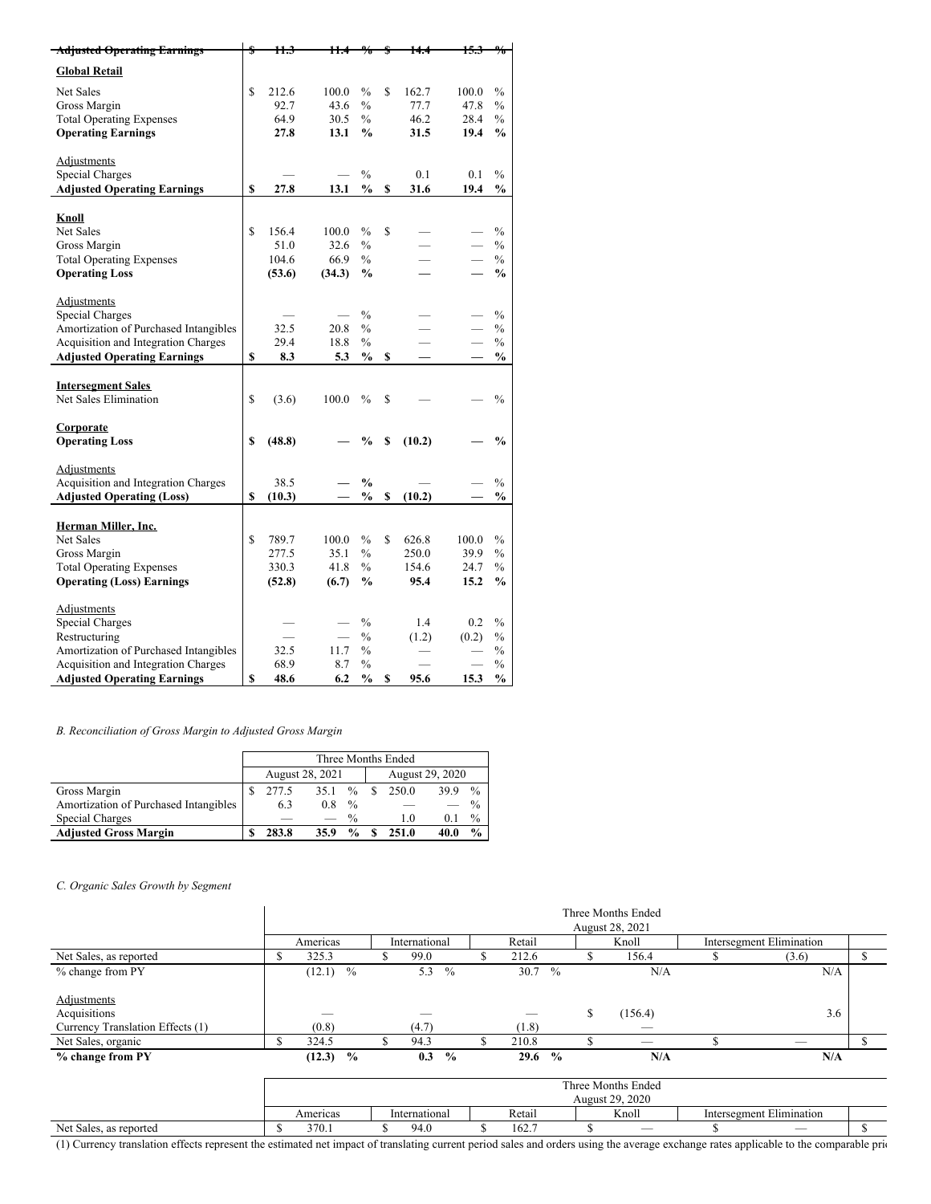| <b>Adjusted Operating Earnings</b>    |              | 11.3   | Ħ.     |               |              | łЭ.   |               |
|---------------------------------------|--------------|--------|--------|---------------|--------------|-------|---------------|
| <b>Global Retail</b>                  |              |        |        |               |              |       |               |
| <b>Net Sales</b>                      | \$           | 212.6  | 100.0  | $\frac{0}{0}$ | \$<br>162.7  | 100.0 | $\frac{0}{0}$ |
| Gross Margin                          |              | 92.7   | 43.6   | $\frac{0}{0}$ | 77.7         | 47.8  | $\%$          |
| <b>Total Operating Expenses</b>       |              | 64.9   | 30.5   | $\frac{0}{0}$ | 46.2         | 28.4  | $\frac{0}{0}$ |
| <b>Operating Earnings</b>             |              | 27.8   | 13.1   | $\frac{0}{0}$ | 31.5         | 19.4  | %             |
| Adjustments                           |              |        |        |               |              |       |               |
| <b>Special Charges</b>                |              |        |        | $\frac{0}{0}$ | 0.1          | 0.1   | $\frac{0}{0}$ |
| <b>Adjusted Operating Earnings</b>    | \$           | 27.8   | 13.1   | $\frac{0}{0}$ | \$<br>31.6   | 19.4  | $\frac{0}{0}$ |
| Knoll                                 |              |        |        |               |              |       |               |
| <b>Net Sales</b>                      | \$           | 156.4  | 100.0  | $\frac{0}{0}$ | \$           |       | $\frac{0}{0}$ |
| Gross Margin                          |              | 51.0   | 32.6   | $\frac{0}{0}$ |              |       | $\frac{0}{0}$ |
| <b>Total Operating Expenses</b>       |              | 104.6  | 66.9   | $\%$          |              |       | $\%$          |
| <b>Operating Loss</b>                 |              | (53.6) | (34.3) | $\frac{0}{0}$ |              |       | $\frac{0}{0}$ |
| Adjustments                           |              |        |        |               |              |       |               |
| Special Charges                       |              |        |        | $\frac{0}{0}$ |              |       | $\frac{0}{0}$ |
| Amortization of Purchased Intangibles |              | 32.5   | 20.8   | $\frac{0}{0}$ |              |       | $\frac{0}{0}$ |
| Acquisition and Integration Charges   |              | 29.4   | 18.8   | $\frac{0}{0}$ |              |       | $\frac{0}{0}$ |
| <b>Adjusted Operating Earnings</b>    | \$           | 8.3    | 5.3    | $\frac{0}{0}$ | \$           |       | $\frac{0}{0}$ |
|                                       |              |        |        |               |              |       |               |
| <b>Intersegment Sales</b>             |              |        |        |               |              |       |               |
| Net Sales Elimination                 | $\mathbb{S}$ | (3.6)  | 100.0  | $\frac{0}{0}$ | \$           |       | $\frac{0}{0}$ |
| Corporate                             |              |        |        |               |              |       |               |
| <b>Operating Loss</b>                 | \$           | (48.8) |        | $\frac{0}{0}$ | \$<br>(10.2) |       | $\frac{0}{0}$ |
| Adjustments                           |              |        |        |               |              |       |               |
| Acquisition and Integration Charges   |              | 38.5   |        | $\frac{0}{0}$ |              |       | $\frac{0}{0}$ |
| <b>Adjusted Operating (Loss)</b>      | \$           | (10.3) |        | $\frac{0}{0}$ | \$<br>(10.2) |       | %             |
| Herman Miller, Inc.                   |              |        |        |               |              |       |               |
| <b>Net Sales</b>                      | $\mathbf S$  | 789.7  | 100.0  | $\frac{0}{0}$ | \$<br>626.8  | 100.0 | $\frac{0}{0}$ |
| Gross Margin                          |              | 277.5  | 35.1   | $\%$          | 250.0        | 39.9  | $\%$          |
| <b>Total Operating Expenses</b>       |              | 330.3  | 41.8   | $\frac{0}{0}$ | 154.6        | 24.7  | $\frac{0}{0}$ |
| <b>Operating (Loss) Earnings</b>      |              | (52.8) | (6.7)  | $\frac{0}{0}$ | 95.4         | 15.2  | $\frac{0}{0}$ |
|                                       |              |        |        |               |              |       |               |
| <b>Adjustments</b>                    |              |        |        |               |              |       |               |
| <b>Special Charges</b>                |              |        |        | $\frac{0}{0}$ | 1.4          | 0.2   | $\frac{0}{0}$ |
| Restructuring                         |              |        |        | $\frac{0}{0}$ | (1.2)        | (0.2) | $\frac{0}{0}$ |
| Amortization of Purchased Intangibles |              | 32.5   | 11.7   | $\frac{0}{0}$ |              |       | $\frac{0}{0}$ |
| Acquisition and Integration Charges   |              | 68.9   | 8.7    | $\frac{0}{0}$ |              |       | $\frac{0}{0}$ |
| <b>Adjusted Operating Earnings</b>    | \$           | 48.6   | 6.2    | $\frac{0}{0}$ | \$<br>95.6   | 15.3  | $\frac{0}{0}$ |

# *B. Reconciliation of Gross Margin to Adjusted Gross Margin*

|                                       | Three Months Ended                 |       |      |               |  |       |      |               |  |  |  |
|---------------------------------------|------------------------------------|-------|------|---------------|--|-------|------|---------------|--|--|--|
|                                       | August 28, 2021<br>August 29, 2020 |       |      |               |  |       |      |               |  |  |  |
| Gross Margin                          |                                    | 277.5 | 35.1 | $\frac{0}{0}$ |  | 250.0 | 39.9 | $\frac{0}{0}$ |  |  |  |
| Amortization of Purchased Intangibles |                                    | 6.3   | 0.8  | $\%$          |  |       |      | $\%$          |  |  |  |
| Special Charges                       |                                    |       |      | $\frac{0}{0}$ |  | 1.0   | 0. I | $\%$          |  |  |  |
| <b>Adjusted Gross Margin</b>          |                                    | 283.8 | 35.9 | $\frac{0}{0}$ |  | 251.0 | 40.0 | $\frac{0}{0}$ |  |  |  |

# *C. Organic Sales Growth by Segment*

|                                  |     | Three Months Ended<br>August 28, 2021 |               |                      |   |        |               |       |                                       |                                 |                          |  |  |  |  |
|----------------------------------|-----|---------------------------------------|---------------|----------------------|---|--------|---------------|-------|---------------------------------------|---------------------------------|--------------------------|--|--|--|--|
|                                  |     | Americas                              | International |                      |   | Retail |               | Knoll |                                       |                                 | Intersegment Elimination |  |  |  |  |
| Net Sales, as reported           | S   | 325.3                                 |               | 99.0                 |   | 212.6  |               |       | 156.4                                 |                                 | (3.6)                    |  |  |  |  |
| % change from PY                 |     | $\%$<br>(12.1)                        |               | 5.3<br>$\frac{0}{0}$ |   | 30.7   | $\frac{0}{0}$ |       | N/A                                   |                                 | N/A                      |  |  |  |  |
| Adjustments                      |     |                                       |               |                      |   |        |               |       |                                       |                                 |                          |  |  |  |  |
| Acquisitions                     |     |                                       |               |                      |   |        |               | \$    | (156.4)                               |                                 | 3.6                      |  |  |  |  |
| Currency Translation Effects (1) |     | (0.8)                                 |               | (4.7)                |   | (1.8)  |               |       |                                       |                                 |                          |  |  |  |  |
| Net Sales, organic               | \$. | 324.5                                 |               | 94.3                 | ъ | 210.8  |               |       |                                       |                                 | __                       |  |  |  |  |
| % change from PY                 |     | $\frac{0}{0}$<br>(12.3)               |               | $\frac{0}{0}$<br>0.3 |   | 29.6   | $\frac{0}{0}$ |       | N/A                                   |                                 | N/A                      |  |  |  |  |
|                                  |     |                                       |               |                      |   |        |               |       | Three Months Ended<br>August 29, 2020 |                                 |                          |  |  |  |  |
|                                  |     | Americas                              |               | International        |   | Retail |               | Knoll |                                       | <b>Intersegment Elimination</b> |                          |  |  |  |  |
| Net Sales, as reported           | ж   | 370.1                                 |               | 94.0                 |   | 162.7  |               |       |                                       |                                 |                          |  |  |  |  |

(1) Currency translation effects represent the estimated net impact of translating current period sales and orders using the average exchange rates applicable to the comparable prior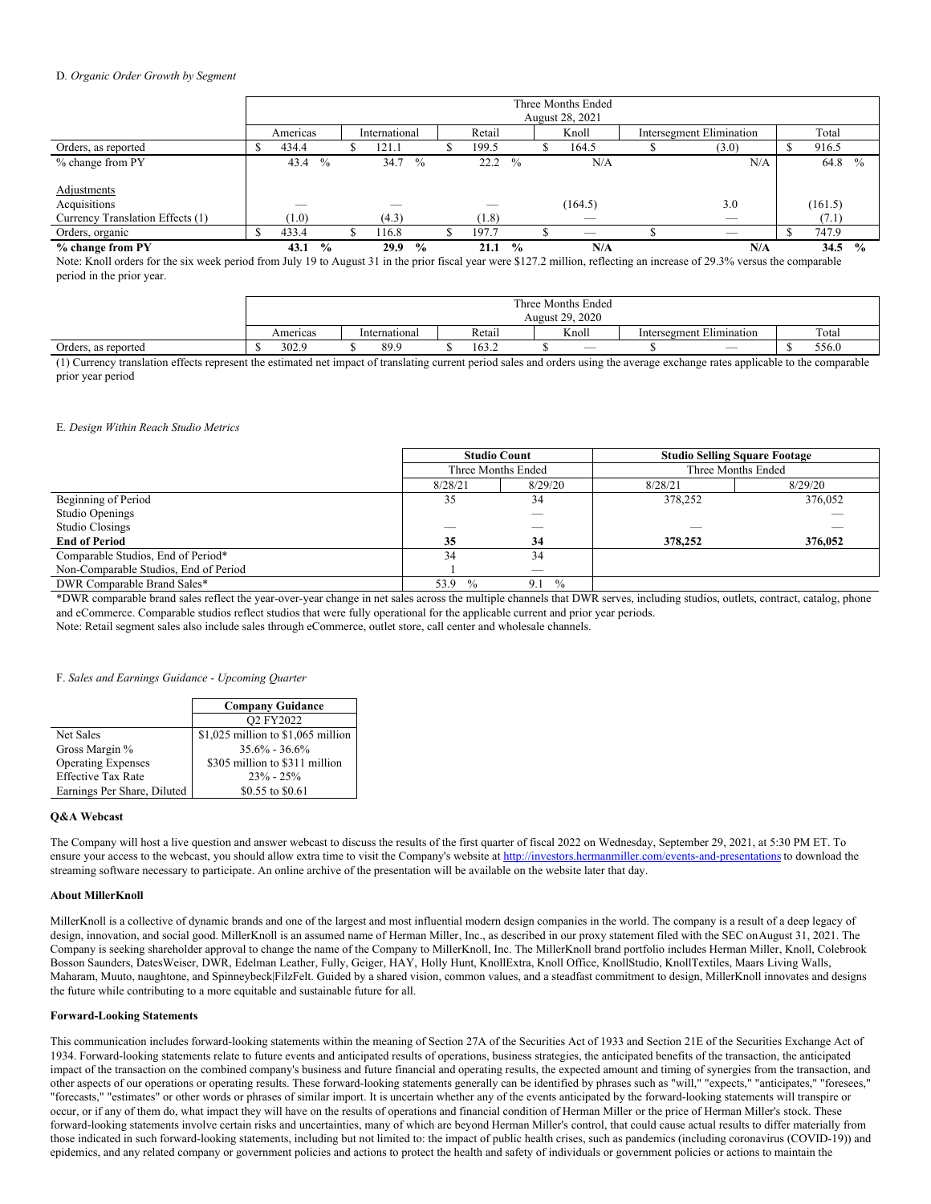### D*. Organic Order Growth by Segment*

|                                  | Three Months Ended |               |  |               |               |  |                   |               |  |                                 |                                 |       |  |         |               |
|----------------------------------|--------------------|---------------|--|---------------|---------------|--|-------------------|---------------|--|---------------------------------|---------------------------------|-------|--|---------|---------------|
|                                  |                    |               |  |               |               |  |                   |               |  | August 28, 2021                 |                                 |       |  |         |               |
|                                  | Americas           |               |  | International |               |  | Retail            |               |  | Knoll                           | <b>Intersegment Elimination</b> |       |  | Total   |               |
| Orders, as reported              | 434.4              |               |  | 121.1         |               |  | 199.5             |               |  | 164.5                           |                                 | (3.0) |  | 916.5   |               |
| % change from PY                 | 43.4               | $\frac{0}{0}$ |  | 34.7          | $^{0}/_{0}$   |  | $22.2\frac{9}{6}$ |               |  | N/A                             |                                 | N/A   |  | 64.8    | $^{0}/_{0}$   |
|                                  |                    |               |  |               |               |  |                   |               |  |                                 |                                 |       |  |         |               |
| Adjustments                      |                    |               |  |               |               |  |                   |               |  |                                 |                                 |       |  |         |               |
| Acquisitions                     |                    |               |  |               |               |  |                   |               |  | (164.5)                         |                                 | 3.0   |  | (161.5) |               |
| Currency Translation Effects (1) | (1.0)              |               |  | (4.3)         |               |  | (1.8)             |               |  | $\hspace{0.1mm}-\hspace{0.1mm}$ |                                 | _     |  | (7.1)   |               |
| Orders, organic                  | 433.4              |               |  | 16.8          |               |  | 197.7             |               |  | $\overline{\phantom{a}}$        |                                 |       |  | 747.9   |               |
| % change from PY                 | 43.1               | $\frac{0}{0}$ |  | 29.9          | $\frac{0}{0}$ |  | 21.1              | $\frac{0}{0}$ |  | N/A                             |                                 | N/A   |  | 34.5    | $\frac{0}{0}$ |

Note: Knoll orders for the six week period from July 19 to August 31 in the prior fiscal year were \$127.2 million, reflecting an increase of 29.3% versus the comparable period in the prior year.

|                     | Three Months Ended |               |        |                          |                          |       |  |  |
|---------------------|--------------------|---------------|--------|--------------------------|--------------------------|-------|--|--|
|                     | August 29, 2020    |               |        |                          |                          |       |  |  |
|                     | Americas           | International | Retail | Knoll                    | Intersegment Elimination | Total |  |  |
| Orders, as reported | 302.9              | 89.9          | 163.2  | $\overline{\phantom{a}}$ | $\overline{\phantom{a}}$ | 556.0 |  |  |

(1) Currency translation effects represent the estimated net impact of translating current period sales and orders using the average exchange rates applicable to the comparable prior year period

### E*. Design Within Reach Studio Metrics*

|                                       | <b>Studio Count</b><br>Three Months Ended |                      | <b>Studio Selling Square Footage</b><br>Three Months Ended |         |
|---------------------------------------|-------------------------------------------|----------------------|------------------------------------------------------------|---------|
|                                       |                                           |                      |                                                            |         |
|                                       | 8/28/21                                   | 8/29/20              | 8/28/21                                                    | 8/29/20 |
| Beginning of Period                   | 35                                        | 34                   | 378,252                                                    | 376,052 |
| Studio Openings                       |                                           |                      |                                                            |         |
| Studio Closings                       |                                           | _                    |                                                            |         |
| <b>End of Period</b>                  | 35                                        | 34                   | 378,252                                                    | 376,052 |
| Comparable Studios, End of Period*    | 34                                        | 34                   |                                                            |         |
| Non-Comparable Studios, End of Period |                                           |                      |                                                            |         |
| DWR Comparable Brand Sales*           | 53.9 %                                    | $\frac{0}{0}$<br>9.1 |                                                            |         |

\*DWR comparable brand sales reflect the year-over-year change in net sales across the multiple channels that DWR serves, including studios, outlets, contract, catalog, phone and eCommerce. Comparable studios reflect studios that were fully operational for the applicable current and prior year periods.

Note: Retail segment sales also include sales through eCommerce, outlet store, call center and wholesale channels.

### F. *Sales and Earnings Guidance - Upcoming Quarter*

|                             | <b>Company Guidance</b>              |  |  |  |
|-----------------------------|--------------------------------------|--|--|--|
|                             | O <sub>2</sub> FY <sub>2022</sub>    |  |  |  |
| Net Sales                   | $$1,025$ million to $$1,065$ million |  |  |  |
| Gross Margin %              | $35.6\% - 36.6\%$                    |  |  |  |
| <b>Operating Expenses</b>   | \$305 million to \$311 million       |  |  |  |
| <b>Effective Tax Rate</b>   | $23\% - 25\%$                        |  |  |  |
| Earnings Per Share, Diluted | \$0.55 to \$0.61                     |  |  |  |

### **Q&A Webcast**

The Company will host a live question and answer webcast to discuss the results of the first quarter of fiscal 2022 on Wednesday, September 29, 2021, at 5:30 PM ET. To ensure your access to the webcast, you should allow extra time to visit the Company's website at <http://investors.hermanmiller.com/events-and-presentations>to download the streaming software necessary to participate. An online archive of the presentation will be available on the website later that day.

### **About MillerKnoll**

MillerKnoll is a collective of dynamic brands and one of the largest and most influential modern design companies in the world. The company is a result of a deep legacy of design, innovation, and social good. MillerKnoll is an assumed name of Herman Miller, Inc., as described in our proxy statement filed with the SEC on August 31, 2021. The Company is seeking shareholder approval to change the name of the Company to MillerKnoll, Inc. The MillerKnoll brand portfolio includes Herman Miller, Knoll, Colebrook Bosson Saunders, DatesWeiser, DWR, Edelman Leather, Fully, Geiger, HAY, Holly Hunt, KnollExtra, Knoll Office, KnollStudio, KnollTextiles, Maars Living Walls, Maharam, Muuto, naughtone, and Spinneybeck|FilzFelt. Guided by a shared vision, common values, and a steadfast commitment to design, MillerKnoll innovates and designs the future while contributing to a more equitable and sustainable future for all.

### **Forward-Looking Statements**

This communication includes forward-looking statements within the meaning of Section 27A of the Securities Act of 1933 and Section 21E of the Securities Exchange Act of 1934. Forward-looking statements relate to future events and anticipated results of operations, business strategies, the anticipated benefits of the transaction, the anticipated impact of the transaction on the combined company's business and future financial and operating results, the expected amount and timing of synergies from the transaction, and other aspects of our operations or operating results. These forward-looking statements generally can be identified by phrases such as "will," "expects," "anticipates," "foresees," "forecasts," "estimates" or other words or phrases of similar import. It is uncertain whether any of the events anticipated by the forward-looking statements will transpire or occur, or if any of them do, what impact they will have on the results of operations and financial condition of Herman Miller or the price of Herman Miller's stock. These forward-looking statements involve certain risks and uncertainties, many of which are beyond Herman Miller's control, that could cause actual results to differ materially from those indicated in such forward-looking statements, including but not limited to: the impact of public health crises, such as pandemics (including coronavirus (COVID-19)) and epidemics, and any related company or government policies and actions to protect the health and safety of individuals or government policies or actions to maintain the